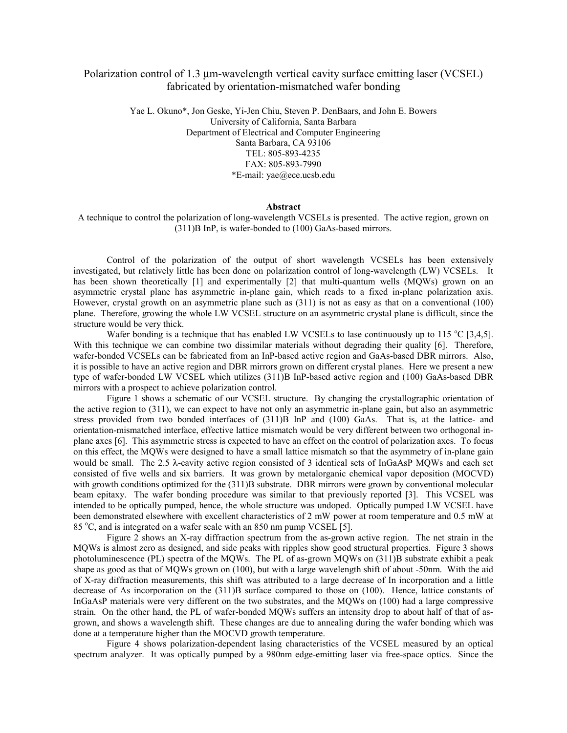## Polarization control of 1.3 µm-wavelength vertical cavity surface emitting laser (VCSEL) fabricated by orientation-mismatched wafer bonding

Yae L. Okuno\*, Jon Geske, Yi-Jen Chiu, Steven P. DenBaars, and John E. Bowers University of California, Santa Barbara Department of Electrical and Computer Engineering Santa Barbara, CA 93106 TEL: 805-893-4235 FAX: 805-893-7990 \*E-mail: yae@ece.ucsb.edu

## **Abstract**

A technique to control the polarization of long-wavelength VCSELs is presented. The active region, grown on (311)B InP, is wafer-bonded to (100) GaAs-based mirrors.

Control of the polarization of the output of short wavelength VCSELs has been extensively investigated, but relatively little has been done on polarization control of long-wavelength (LW) VCSELs. It has been shown theoretically [1] and experimentally [2] that multi-quantum wells (MQWs) grown on an asymmetric crystal plane has asymmetric in-plane gain, which reads to a fixed in-plane polarization axis. However, crystal growth on an asymmetric plane such as (311) is not as easy as that on a conventional (100) plane. Therefore, growing the whole LW VCSEL structure on an asymmetric crystal plane is difficult, since the structure would be very thick.

Wafer bonding is a technique that has enabled LW VCSELs to lase continuously up to 115 °C [3,4,5]. With this technique we can combine two dissimilar materials without degrading their quality [6]. Therefore, wafer-bonded VCSELs can be fabricated from an InP-based active region and GaAs-based DBR mirrors. Also, it is possible to have an active region and DBR mirrors grown on different crystal planes. Here we present a new type of wafer-bonded LW VCSEL which utilizes (311)B InP-based active region and (100) GaAs-based DBR mirrors with a prospect to achieve polarization control.

Figure 1 shows a schematic of our VCSEL structure. By changing the crystallographic orientation of the active region to (311), we can expect to have not only an asymmetric in-plane gain, but also an asymmetric stress provided from two bonded interfaces of (311)B InP and (100) GaAs. That is, at the lattice- and orientation-mismatched interface, effective lattice mismatch would be very different between two orthogonal inplane axes [6]. This asymmetric stress is expected to have an effect on the control of polarization axes. To focus on this effect, the MQWs were designed to have a small lattice mismatch so that the asymmetry of in-plane gain would be small. The 2.5 λ-cavity active region consisted of 3 identical sets of InGaAsP MQWs and each set consisted of five wells and six barriers. It was grown by metalorganic chemical vapor deposition (MOCVD) with growth conditions optimized for the (311)B substrate. DBR mirrors were grown by conventional molecular beam epitaxy. The wafer bonding procedure was similar to that previously reported [3]. This VCSEL was intended to be optically pumped, hence, the whole structure was undoped. Optically pumped LW VCSEL have been demonstrated elsewhere with excellent characteristics of 2 mW power at room temperature and 0.5 mW at 85 °C, and is integrated on a wafer scale with an 850 nm pump VCSEL [5].

Figure 2 shows an X-ray diffraction spectrum from the as-grown active region. The net strain in the MQWs is almost zero as designed, and side peaks with ripples show good structural properties. Figure 3 shows photoluminescence (PL) spectra of the MQWs. The PL of as-grown MQWs on (311)B substrate exhibit a peak shape as good as that of MQWs grown on (100), but with a large wavelength shift of about -50nm. With the aid of X-ray diffraction measurements, this shift was attributed to a large decrease of In incorporation and a little decrease of As incorporation on the (311)B surface compared to those on (100). Hence, lattice constants of InGaAsP materials were very different on the two substrates, and the MQWs on (100) had a large compressive strain. On the other hand, the PL of wafer-bonded MQWs suffers an intensity drop to about half of that of asgrown, and shows a wavelength shift. These changes are due to annealing during the wafer bonding which was done at a temperature higher than the MOCVD growth temperature.

Figure 4 shows polarization-dependent lasing characteristics of the VCSEL measured by an optical spectrum analyzer. It was optically pumped by a 980nm edge-emitting laser via free-space optics. Since the